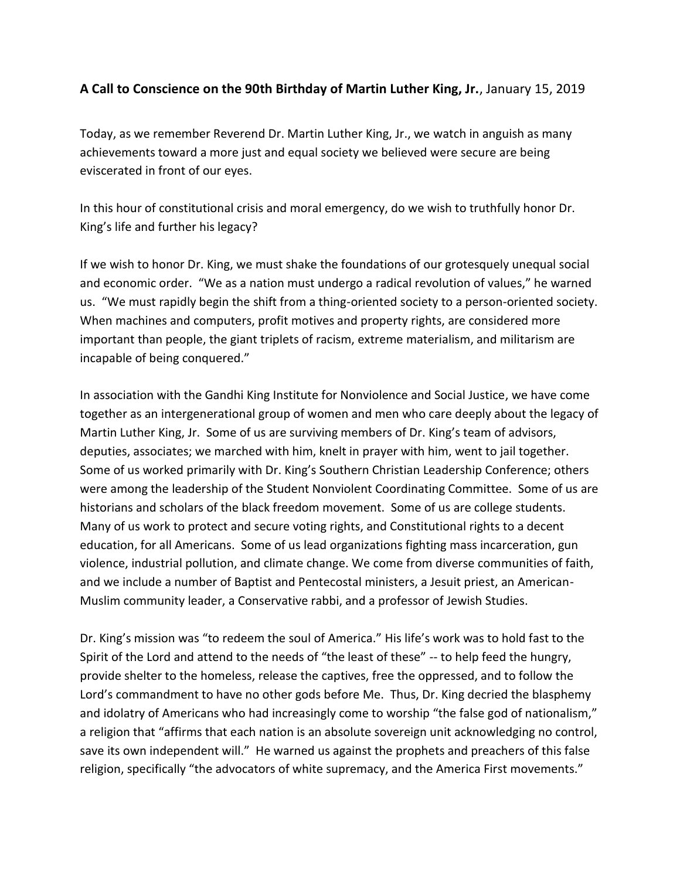## **A Call to Conscience on the 90th Birthday of Martin Luther King, Jr.**, January 15, 2019

Today, as we remember Reverend Dr. Martin Luther King, Jr., we watch in anguish as many achievements toward a more just and equal society we believed were secure are being eviscerated in front of our eyes.

In this hour of constitutional crisis and moral emergency, do we wish to truthfully honor Dr. King's life and further his legacy?

If we wish to honor Dr. King, we must shake the foundations of our grotesquely unequal social and economic order. "We as a nation must undergo a radical revolution of values," he warned us. "We must rapidly begin the shift from a thing-oriented society to a person-oriented society. When machines and computers, profit motives and property rights, are considered more important than people, the giant triplets of racism, extreme materialism, and militarism are incapable of being conquered."

In association with the Gandhi King Institute for Nonviolence and Social Justice, we have come together as an intergenerational group of women and men who care deeply about the legacy of Martin Luther King, Jr. Some of us are surviving members of Dr. King's team of advisors, deputies, associates; we marched with him, knelt in prayer with him, went to jail together. Some of us worked primarily with Dr. King's Southern Christian Leadership Conference; others were among the leadership of the Student Nonviolent Coordinating Committee. Some of us are historians and scholars of the black freedom movement. Some of us are college students. Many of us work to protect and secure voting rights, and Constitutional rights to a decent education, for all Americans. Some of us lead organizations fighting mass incarceration, gun violence, industrial pollution, and climate change. We come from diverse communities of faith, and we include a number of Baptist and Pentecostal ministers, a Jesuit priest, an American-Muslim community leader, a Conservative rabbi, and a professor of Jewish Studies.

Dr. King's mission was "to redeem the soul of America." His life's work was to hold fast to the Spirit of the Lord and attend to the needs of "the least of these" -- to help feed the hungry, provide shelter to the homeless, release the captives, free the oppressed, and to follow the Lord's commandment to have no other gods before Me. Thus, Dr. King decried the blasphemy and idolatry of Americans who had increasingly come to worship "the false god of nationalism," a religion that "affirms that each nation is an absolute sovereign unit acknowledging no control, save its own independent will." He warned us against the prophets and preachers of this false religion, specifically "the advocators of white supremacy, and the America First movements."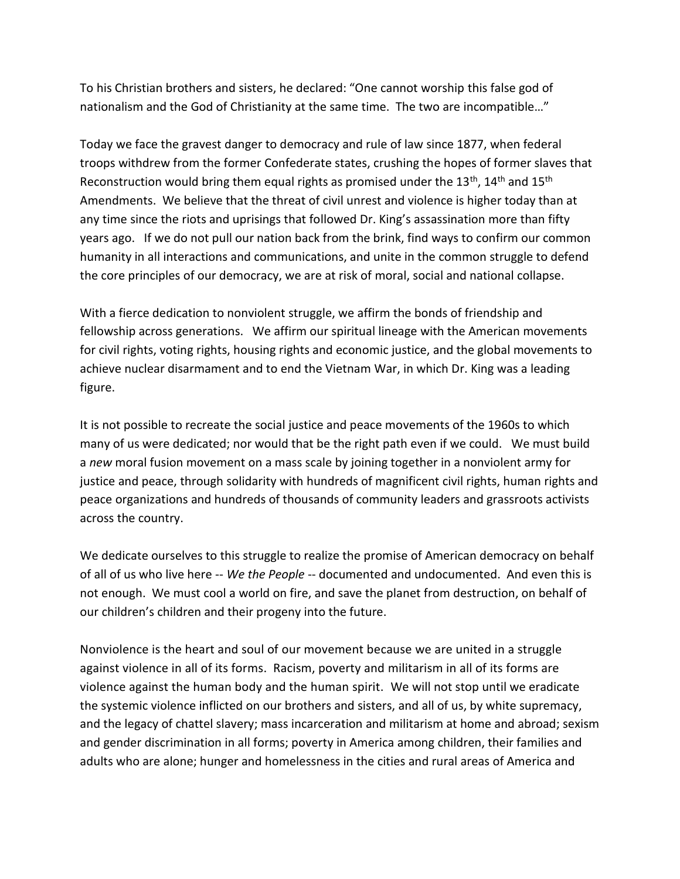To his Christian brothers and sisters, he declared: "One cannot worship this false god of nationalism and the God of Christianity at the same time. The two are incompatible…"

Today we face the gravest danger to democracy and rule of law since 1877, when federal troops withdrew from the former Confederate states, crushing the hopes of former slaves that Reconstruction would bring them equal rights as promised under the  $13^{th}$ ,  $14^{th}$  and  $15^{th}$ Amendments. We believe that the threat of civil unrest and violence is higher today than at any time since the riots and uprisings that followed Dr. King's assassination more than fifty years ago. If we do not pull our nation back from the brink, find ways to confirm our common humanity in all interactions and communications, and unite in the common struggle to defend the core principles of our democracy, we are at risk of moral, social and national collapse.

With a fierce dedication to nonviolent struggle, we affirm the bonds of friendship and fellowship across generations. We affirm our spiritual lineage with the American movements for civil rights, voting rights, housing rights and economic justice, and the global movements to achieve nuclear disarmament and to end the Vietnam War, in which Dr. King was a leading figure.

It is not possible to recreate the social justice and peace movements of the 1960s to which many of us were dedicated; nor would that be the right path even if we could. We must build a *new* moral fusion movement on a mass scale by joining together in a nonviolent army for justice and peace, through solidarity with hundreds of magnificent civil rights, human rights and peace organizations and hundreds of thousands of community leaders and grassroots activists across the country.

We dedicate ourselves to this struggle to realize the promise of American democracy on behalf of all of us who live here -- *We the People* -- documented and undocumented. And even this is not enough. We must cool a world on fire, and save the planet from destruction, on behalf of our children's children and their progeny into the future.

Nonviolence is the heart and soul of our movement because we are united in a struggle against violence in all of its forms. Racism, poverty and militarism in all of its forms are violence against the human body and the human spirit. We will not stop until we eradicate the systemic violence inflicted on our brothers and sisters, and all of us, by white supremacy, and the legacy of chattel slavery; mass incarceration and militarism at home and abroad; sexism and gender discrimination in all forms; poverty in America among children, their families and adults who are alone; hunger and homelessness in the cities and rural areas of America and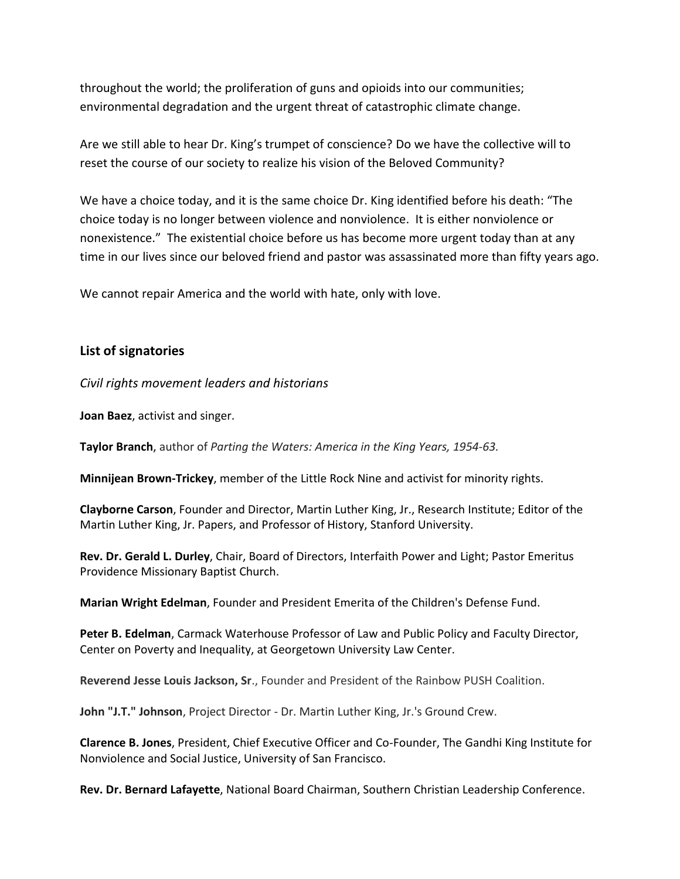throughout the world; the proliferation of guns and opioids into our communities; environmental degradation and the urgent threat of catastrophic climate change.

Are we still able to hear Dr. King's trumpet of conscience? Do we have the collective will to reset the course of our society to realize his vision of the Beloved Community?

We have a choice today, and it is the same choice Dr. King identified before his death: "The choice today is no longer between violence and nonviolence. It is either nonviolence or nonexistence." The existential choice before us has become more urgent today than at any time in our lives since our beloved friend and pastor was assassinated more than fifty years ago.

We cannot repair America and the world with hate, only with love.

## **List of signatories**

*Civil rights movement leaders and historians*

**Joan Baez**, activist and singer.

**Taylor Branch**, author of *Parting the Waters: America in the King Years, 1954-63.*

**Minnijean Brown-Trickey**, member of the Little Rock Nine and activist for minority rights.

**Clayborne Carson**, Founder and Director, Martin Luther King, Jr., Research Institute; Editor of the Martin Luther King, Jr. Papers, and Professor of History, Stanford University.

**Rev. Dr. Gerald L. Durley**, Chair, Board of Directors, Interfaith Power and Light; Pastor Emeritus Providence Missionary Baptist Church.

**Marian Wright Edelman**, Founder and President Emerita of the Children's Defense Fund.

**Peter B. Edelman**, Carmack Waterhouse Professor of Law and Public Policy and Faculty Director, Center on Poverty and Inequality, at Georgetown University Law Center.

**Reverend Jesse Louis Jackson, Sr**., Founder and President of the Rainbow PUSH Coalition.

**John "J.T." Johnson**, Project Director - Dr. Martin Luther King, Jr.'s Ground Crew.

**Clarence B. Jones**, President, Chief Executive Officer and Co-Founder, The Gandhi King Institute for Nonviolence and Social Justice, University of San Francisco.

**Rev. Dr. Bernard Lafayette**, National Board Chairman, Southern Christian Leadership Conference.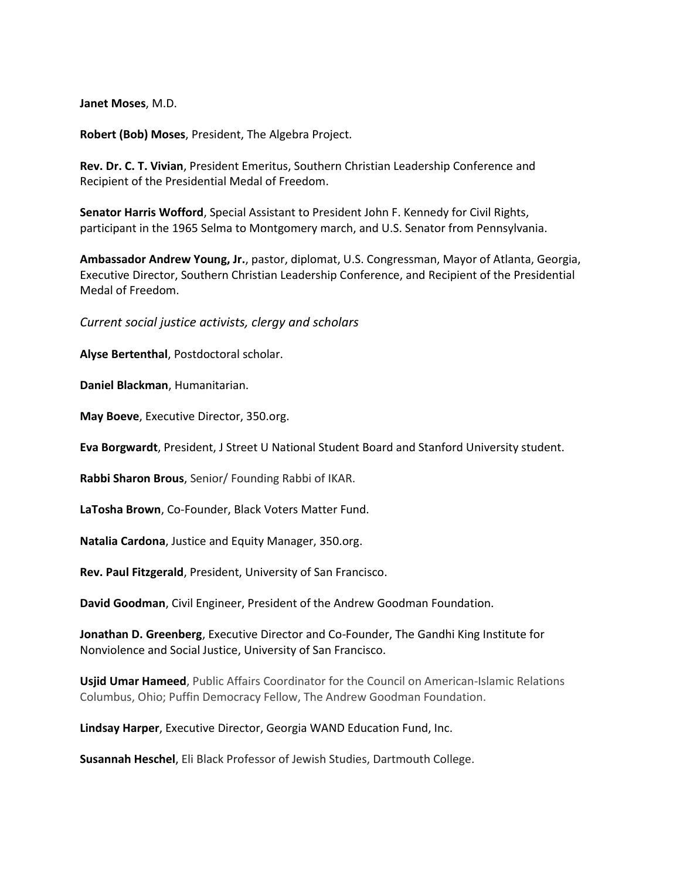**Janet Moses**, M.D.

**Robert (Bob) Moses**, President, The Algebra Project.

**Rev. Dr. C. T. Vivian**, President Emeritus, Southern Christian Leadership Conference and Recipient of the [Presidential Medal of Freedom.](https://en.wikipedia.org/wiki/Presidential_Medal_of_Freedom)

**Senator Harris Wofford**, Special Assistant to President John F. Kennedy for Civil Rights, participant in the 1965 [Selma to Montgomery march,](https://en.wikipedia.org/wiki/Selma_to_Montgomery_marches) and U.S. Senator from Pennsylvania.

**Ambassador Andrew Young, Jr.**, pastor, diplomat, U.S. Congressman, Mayor of Atlanta, Georgia, Executive Director, Southern Christian Leadership Conference, and Recipient of the [Presidential](https://en.wikipedia.org/wiki/Presidential_Medal_of_Freedom)  [Medal of Freedom.](https://en.wikipedia.org/wiki/Presidential_Medal_of_Freedom)

*Current social justice activists, clergy and scholars*

**Alyse Bertenthal**, Postdoctoral scholar.

**Daniel Blackman**, Humanitarian.

**May Boeve**, Executive Director, 350.org.

**Eva Borgwardt**, President, J Street U National Student Board and Stanford University student.

**Rabbi Sharon Brous**, Senior/ Founding Rabbi of IKAR.

**LaTosha Brown**, Co-Founder, Black Voters Matter Fund.

**Natalia Cardona**, Justice and Equity Manager, 350.org.

**Rev. Paul Fitzgerald**, President, University of San Francisco.

**David Goodman**, Civil Engineer, President of the Andrew Goodman Foundation.

**Jonathan D. Greenberg**, Executive Director and Co-Founder, The Gandhi King Institute for Nonviolence and Social Justice, University of San Francisco.

**Usjid Umar Hameed**, Public Affairs Coordinator for the Council on American-Islamic Relations Columbus, Ohio; Puffin Democracy Fellow, The Andrew Goodman Foundation.

**Lindsay Harper**, Executive Director, Georgia WAND Education Fund, Inc.

**Susannah Heschel**, Eli Black Professor of Jewish Studies, Dartmouth College.